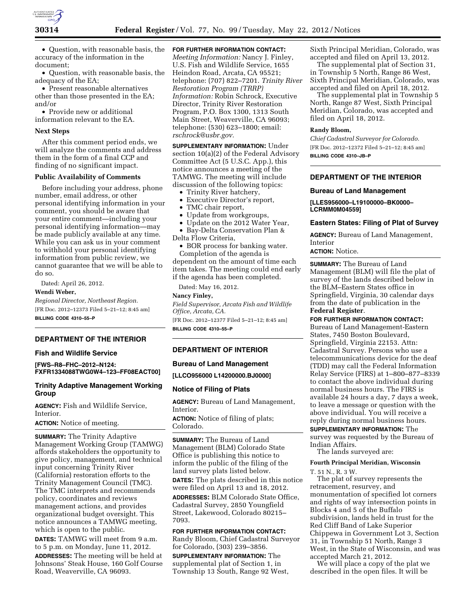

• Question, with reasonable basis, the accuracy of the information in the document;

• Question, with reasonable basis, the adequacy of the EA;

• Present reasonable alternatives other than those presented in the EA; and/or

• Provide new or additional information relevant to the EA.

# **Next Steps**

After this comment period ends, we will analyze the comments and address them in the form of a final CCP and finding of no significant impact.

#### **Public Availability of Comments**

Before including your address, phone number, email address, or other personal identifying information in your comment, you should be aware that your entire comment—including your personal identifying information—may be made publicly available at any time. While you can ask us in your comment to withhold your personal identifying information from public review, we cannot guarantee that we will be able to do so.

Dated: April 26, 2012.

**Wendi Weber,** 

*Regional Director, Northeast Region.*  [FR Doc. 2012–12373 Filed 5–21–12; 8:45 am] **BILLING CODE 4310–55–P** 

# **DEPARTMENT OF THE INTERIOR**

## **Fish and Wildlife Service**

**[FWS–R8–FHC–2012–N124: FXFR1334088TWG0W4–123–FF08EACT00]** 

# **Trinity Adaptive Management Working Group**

**AGENCY:** Fish and Wildlife Service, **Interior** 

## **ACTION:** Notice of meeting.

**SUMMARY:** The Trinity Adaptive Management Working Group (TAMWG) affords stakeholders the opportunity to give policy, management, and technical input concerning Trinity River (California) restoration efforts to the Trinity Management Council (TMC). The TMC interprets and recommends policy, coordinates and reviews management actions, and provides organizational budget oversight. This notice announces a TAMWG meeting, which is open to the public.

**DATES:** TAMWG will meet from 9 a.m. to 5 p.m. on Monday, June 11, 2012.

**ADDRESSES:** The meeting will be held at Johnsons' Steak House, 160 Golf Course Road, Weaverville, CA 96093.

# **FOR FURTHER INFORMATION CONTACT:**

*Meeting Information:* Nancy J. Finley, U.S. Fish and Wildlife Service, 1655 Heindon Road, Arcata, CA 95521; telephone: (707) 822–7201. *Trinity River Restoration Program (TRRP) Information:* Robin Schrock, Executive Director, Trinity River Restoration Program, P.O. Box 1300, 1313 South Main Street, Weaverville, CA 96093; telephone: (530) 623–1800; email: *[rschrock@usbr.gov.](mailto:rschrock@usbr.gov)* 

**SUPPLEMENTARY INFORMATION:** Under section 10(a)(2) of the Federal Advisory Committee Act (5 U.S.C. App.), this notice announces a meeting of the TAMWG. The meeting will include discussion of the following topics:

- Trinity River hatchery,
- Executive Director's report,
- TMC chair report,
- Update from workgroups,

• Update on the 2012 Water Year, • Bay-Delta Conservation Plan &

Delta Flow Criteria,

• BOR process for banking water.

Completion of the agenda is dependent on the amount of time each item takes. The meeting could end early if the agenda has been completed.

Dated: May 16, 2012.

# **Nancy Finley,**

*Field Supervisor, Arcata Fish and Wildlife Office, Arcata, CA.*  [FR Doc. 2012–12377 Filed 5–21–12; 8:45 am]

**BILLING CODE 4310–55–P** 

## **DEPARTMENT OF INTERIOR**

#### **Bureau of Land Management**

**[LLCO956000 L14200000.BJ0000]** 

#### **Notice of Filing of Plats**

**AGENCY:** Bureau of Land Management, Interior.

**ACTION:** Notice of filing of plats; Colorado.

**SUMMARY:** The Bureau of Land Management (BLM) Colorado State Office is publishing this notice to inform the public of the filing of the land survey plats listed below. **DATES:** The plats described in this notice

were filed on April 13 and 18, 2012.

**ADDRESSES:** BLM Colorado State Office, Cadastral Survey, 2850 Youngfield Street, Lakewood, Colorado 80215– 7093.

# **FOR FURTHER INFORMATION CONTACT:**  Randy Bloom, Chief Cadastral Surveyor

for Colorado, (303) 239–3856. **SUPPLEMENTARY INFORMATION:** The

supplemental plat of Section 1, in Township 13 South, Range 92 West, Sixth Principal Meridian, Colorado, was accepted and filed on April 13, 2012.

The supplemental plat of Section 31, in Township 5 North, Range 86 West, Sixth Principal Meridian, Colorado, was accepted and filed on April 18, 2012.

The supplemental plat in Township 5 North, Range 87 West, Sixth Principal Meridian, Colorado, was accepted and filed on April 18, 2012.

# **Randy Bloom,**

*Chief Cadastral Surveyor for Colorado.*  [FR Doc. 2012–12372 Filed 5–21–12; 8:45 am] **BILLING CODE 4310–JB–P** 

# **DEPARTMENT OF THE INTERIOR**

## **Bureau of Land Management**

**[LLES956000–L19100000–BK0000– LCRMM0M04559]** 

#### **Eastern States: Filing of Plat of Survey**

**AGENCY:** Bureau of Land Management, Interior

#### **ACTION:** Notice.

**SUMMARY:** The Bureau of Land Management (BLM) will file the plat of survey of the lands described below in the BLM–Eastern States office in Springfield, Virginia, 30 calendar days from the date of publication in the **Federal Register**.

**FOR FURTHER INFORMATION CONTACT:**  Bureau of Land Management-Eastern States, 7450 Boston Boulevard, Springfield, Virginia 22153. Attn: Cadastral Survey. Persons who use a telecommunications device for the deaf (TDD) may call the Federal Information Relay Service (FIRS) at 1–800–877–8339 to contact the above individual during normal business hours. The FIRS is available 24 hours a day, 7 days a week, to leave a message or question with the above individual. You will receive a reply during normal business hours.

**SUPPLEMENTARY INFORMATION:** The survey was requested by the Bureau of Indian Affairs.

The lands surveyed are:

#### **Fourth Principal Meridian, Wisconsin**

T. 51 N., R. 3 W.

The plat of survey represents the retracement, resurvey, and monumentation of specified lot corners and rights of way intersection points in Blocks 4 and 5 of the Buffalo subdivision, lands held in trust for the Red Cliff Band of Lake Superior Chippewa in Government Lot 3, Section 31, in Township 51 North, Range 3 West, in the State of Wisconsin, and was accepted March 21, 2012.

We will place a copy of the plat we described in the open files. It will be